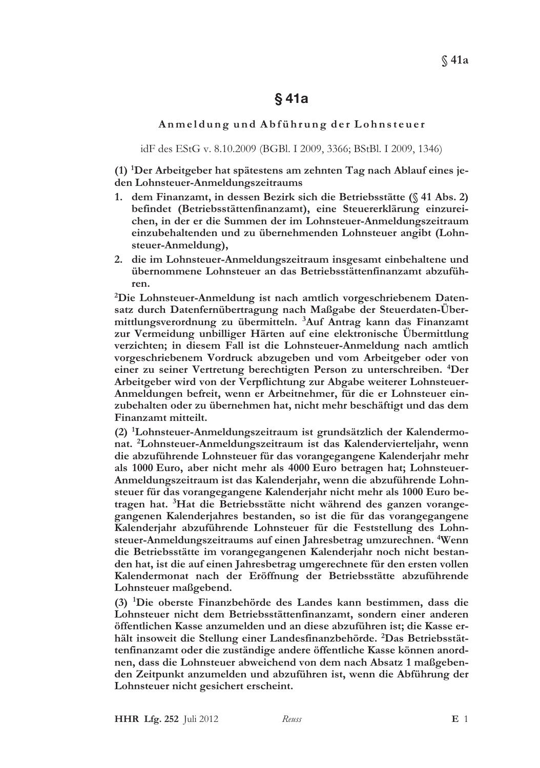Anmeldung und Abführung der Lohnsteuer

idF des EStG v. 8.10.2009 (BGBl. I 2009, 3366; BStBl. I 2009, 1346)

(1) <sup>1</sup>Der Arbeitgeber hat spätestens am zehnten Tag nach Ablauf eines jeden Lohnsteuer-Anmeldungszeitraums

- 1. dem Finanzamt, in dessen Bezirk sich die Betriebsstätte (§ 41 Abs. 2) befindet (Betriebsstättenfinanzamt), eine Steuererklärung einzureichen, in der er die Summen der im Lohnsteuer-Anmeldungszeitraum einzubehaltenden und zu übernehmenden Lohnsteuer angibt (Lohnsteuer-Anmeldung),
- 2. die im Lohnsteuer-Anmeldungszeitraum insgesamt einbehaltene und übernommene Lohnsteuer an das Betriebsstättenfinanzamt abzuführen.

<sup>2</sup>Die Lohnsteuer-Anmeldung ist nach amtlich vorgeschriebenem Datensatz durch Datenfernübertragung nach Maßgabe der Steuerdaten-Übermittlungsverordnung zu übermitteln. <sup>3</sup>Auf Antrag kann das Finanzamt zur Vermeidung unbilliger Härten auf eine elektronische Übermittlung verzichten; in diesem Fall ist die Lohnsteuer-Anmeldung nach amtlich vorgeschriebenem Vordruck abzugeben und vom Arbeitgeber oder von einer zu seiner Vertretung berechtigten Person zu unterschreiben. <sup>4</sup>Der Arbeitgeber wird von der Verpflichtung zur Abgabe weiterer Lohnsteuer-Anmeldungen befreit, wenn er Arbeitnehmer, für die er Lohnsteuer einzubehalten oder zu übernehmen hat, nicht mehr beschäftigt und das dem Finanzamt mitteilt.

(2) <sup>1</sup>Lohnsteuer-Anmeldungszeitraum ist grundsätzlich der Kalendermonat. <sup>2</sup>Lohnsteuer-Anmeldungszeitraum ist das Kalendervierteljahr, wenn die abzuführende Lohnsteuer für das vorangegangene Kalenderjahr mehr als 1000 Euro, aber nicht mehr als 4000 Euro betragen hat; Lohnsteuer-Anmeldungszeitraum ist das Kalenderjahr, wenn die abzuführende Lohnsteuer für das vorangegangene Kalenderjahr nicht mehr als 1000 Euro betragen hat. <sup>3</sup>Hat die Betriebsstätte nicht während des ganzen vorangegangenen Kalenderjahres bestanden, so ist die für das vorangegangene Kalenderjahr abzuführende Lohnsteuer für die Feststellung des Lohnsteuer-Anmeldungszeitraums auf einen Jahresbetrag umzurechnen. <sup>4</sup>Wenn die Betriebsstätte im vorangegangenen Kalenderjahr noch nicht bestanden hat, ist die auf einen Jahresbetrag umgerechnete für den ersten vollen Kalendermonat nach der Eröffnung der Betriebsstätte abzuführende Lohnsteuer maßgebend.

(3) <sup>1</sup>Die oberste Finanzbehörde des Landes kann bestimmen, dass die Lohnsteuer nicht dem Betriebsstättenfinanzamt, sondern einer anderen öffentlichen Kasse anzumelden und an diese abzuführen ist; die Kasse erhält insoweit die Stellung einer Landesfinanzbehörde. <sup>2</sup>Das Betriebsstättenfinanzamt oder die zuständige andere öffentliche Kasse können anordnen, dass die Lohnsteuer abweichend von dem nach Absatz 1 maßgebenden Zeitpunkt anzumelden und abzuführen ist, wenn die Abführung der Lohnsteuer nicht gesichert erscheint.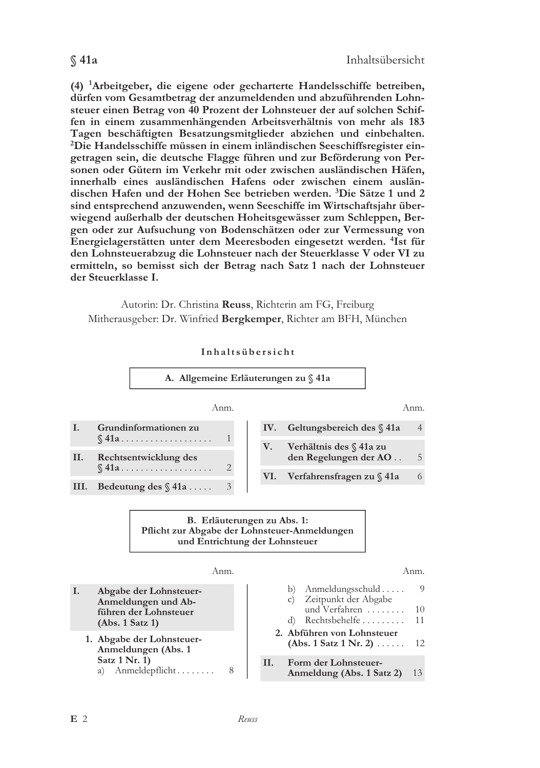(4) <sup>1</sup>Arbeitgeber, die eigene oder gecharterte Handelsschiffe betreiben, dürfen vom Gesamtbetrag der anzumeldenden und abzuführenden Lohnsteuer einen Betrag von 40 Prozent der Lohnsteuer der auf solchen Schiffen in einem zusammenhängenden Arbeitsverhältnis von mehr als 183 Tagen beschäftigten Besatzungsmitglieder abziehen und einbehalten. <sup>2</sup>Die Handelsschiffe müssen in einem inländischen Seeschiffsregister eingetragen sein, die deutsche Flagge führen und zur Beförderung von Personen oder Gütern im Verkehr mit oder zwischen ausländischen Häfen, innerhalb eines ausländischen Hafens oder zwischen einem ausländischen Hafen und der Hohen See betrieben werden. 3Die Sätze 1 und 2

sind entsprechend anzuwenden, wenn Seeschiffe im Wirtschaftsjahr überwiegend außerhalb der deutschen Hoheitsgewässer zum Schleppen, Bergen oder zur Aufsuchung von Bodenschätzen oder zur Vermessung von Energielagerstätten unter dem Meeresboden eingesetzt werden. <sup>4</sup>Ist für den Lohnsteuerabzug die Lohnsteuer nach der Steuerklasse V oder VI zu ermitteln, so bemisst sich der Betrag nach Satz 1 nach der Lohnsteuer der Steuerklasse I.

Autorin: Dr. Christina Reuss, Richterin am FG, Freiburg Mitherausgeber: Dr. Winfried Bergkemper, Richter am BFH, München



#### Inhaltsübersicht

## $$41a$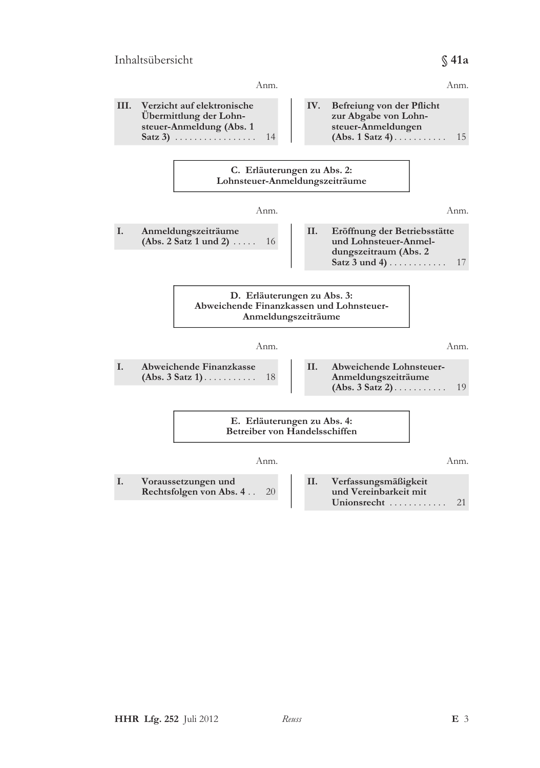## Inhaltsübersicht

#### Anm. Anm. **III** Verzicht auf elektronische IV. Befreiung von der Pflicht Übermittlung der Lohnzur Abgabe von Lohnsteuer-Anmeldung (Abs. 1 steuer-Anmeldungen Satz 3)  $\ldots \ldots \ldots \ldots \ldots$ 14  $(Abs. 1 Satz 4) \ldots \ldots$ 15 C. Erläuterungen zu Abs. 2: Lohnsteuer-Anmeldungszeiträume Anm. Anm. I. Anmeldungszeiträume II. Eröffnung der Betriebsstätte (Abs. 2 Satz 1 und 2)  $\ldots$ . 16 und Lohnsteuer-Anmeldungszeitraum (Abs. 2 Satz  $3$  und  $4)$ ........... 17 D. Erläuterungen zu Abs. 3: Abweichende Finanzkassen und Lohnsteuer-Anmeldungszeiträume Anm. Anm. I. **Abweichende Finanzkasse** II. Abweichende Lohnsteuer- $(Abs. 3 Satz 1)$ ......... Anmeldungszeiträume 18  $(Abs. 3 Satz 2) \ldots \ldots \ldots$  $1<sub>0</sub>$ E. Erläuterungen zu Abs. 4: Betreiber von Handelsschiffen Anm. Anm. I. Voraussetzungen und II. Verfassungsmäßigkeit Rechtsfolgen von Abs. 4.. und Vereinbarkeit mit 20 Unionsrecht .......... 21

 $$41a$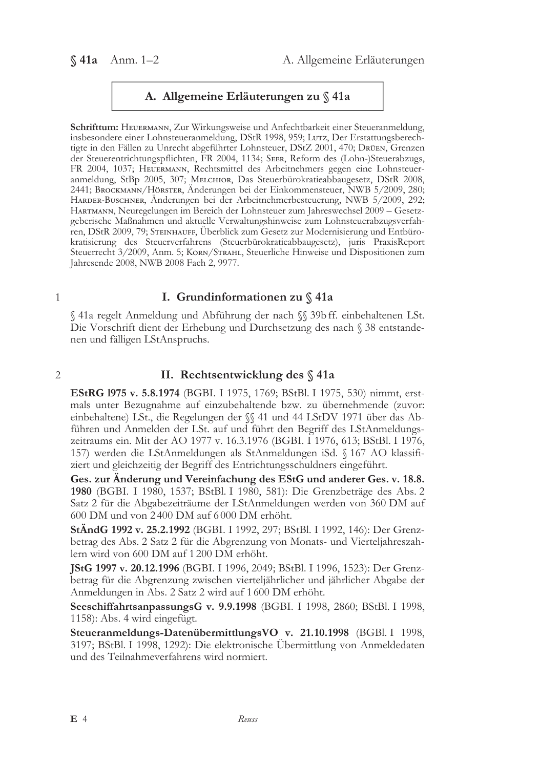$$41a$  Anm. 1-2

# A. Allgemeine Erläuterungen zu § 41a

Schrifttum: HEUERMANN, Zur Wirkungsweise und Anfechtbarkeit einer Steueranmeldung, insbesondere einer Lohnsteueranmeldung, DStR 1998, 959; Lurz, Der Erstattungsberechtigte in den Fällen zu Unrecht abgeführter Lohnsteuer, DStZ 2001, 470; Drüen, Grenzen der Steuerentrichtungspflichten, FR 2004, 1134; SEER, Reform des (Lohn-)Steuerabzugs, FR 2004, 1037; HEUERMANN, Rechtsmittel des Arbeitnehmers gegen eine Lohnsteueranmeldung, StBp 2005, 307; MELCHIOR, Das Steuerbürokratieabbaugesetz, DStR 2008, 2441; Ввоскмалл/НöвsтER, Änderungen bei der Einkommensteuer, NWB 5/2009, 280; HARDER-BUSCHNER, Änderungen bei der Arbeitnehmerbesteuerung, NWB 5/2009, 292; HARTMANN, Neuregelungen im Bereich der Lohnsteuer zum Jahreswechsel 2009 – Gesetzgeberische Maßnahmen und aktuelle Verwaltungshinweise zum Lohnsteuerabzugsverfahren, DStR 2009, 79; STEINHAUFF, Überblick zum Gesetz zur Modernisierung und Entbürokratisierung des Steuerverfahrens (Steuerbürokratieabbaugesetz), juris PraxisReport Steuerrecht 3/2009, Anm. 5; KORN/STRAHL, Steuerliche Hinweise und Dispositionen zum Jahresende 2008, NWB 2008 Fach 2, 9977.

#### $\mathbf{1}$

 $\overline{2}$ 

### I. Grundinformationen zu § 41a

§ 41a regelt Anmeldung und Abführung der nach §§ 39b ff. einbehaltenen LSt. Die Vorschrift dient der Erhebung und Durchsetzung des nach § 38 entstandenen und fälligen LStAnspruchs.

## II. Rechtsentwicklung des § 41a

**EStRG 1975 v. 5.8.1974** (BGBI. I 1975, 1769; BStBl. I 1975, 530) nimmt, erstmals unter Bezugnahme auf einzubehaltende bzw. zu übernehmende (zuvor: einbehaltene) LSt., die Regelungen der  $\S$  41 und 44 LStDV 1971 über das Abführen und Anmelden der LSt. auf und führt den Begriff des LStAnmeldungszeitraums ein. Mit der AO 1977 v. 16.3.1976 (BGBI. I 1976, 613; BStBl. I 1976, 157) werden die LStAnmeldungen als StAnmeldungen iSd. § 167 AO klassifiziert und gleichzeitig der Begriff des Entrichtungsschuldners eingeführt.

Ges. zur Änderung und Vereinfachung des EStG und anderer Ges. v. 18.8. 1980 (BGBI. I 1980, 1537; BStBl. I 1980, 581): Die Grenzbeträge des Abs. 2 Satz 2 für die Abgabezeiträume der LStAnmeldungen werden von 360 DM auf 600 DM und von 2400 DM auf 6000 DM erhöht.

StÄndG 1992 v. 25.2.1992 (BGBI. I 1992, 297; BStBl. I 1992, 146): Der Grenzbetrag des Abs. 2 Satz 2 für die Abgrenzung von Monats- und Vierteljahreszahlern wird von 600 DM auf 1 200 DM erhöht.

JStG 1997 v. 20.12.1996 (BGBI. I 1996, 2049; BStBl. I 1996, 1523): Der Grenzbetrag für die Abgrenzung zwischen vierteljährlicher und jährlicher Abgabe der Anmeldungen in Abs. 2 Satz 2 wird auf 1 600 DM erhöht.

SeeschiffahrtsanpassungsG v. 9.9.1998 (BGBI. I 1998, 2860; BStBl. I 1998, 1158): Abs. 4 wird eingefügt.

Steueranmeldungs-DatenübermittlungsVO v. 21.10.1998 (BGBl. I 1998, 3197; BStBl. I 1998, 1292): Die elektronische Ubermittlung von Anmeldedaten und des Teilnahmeverfahrens wird normiert.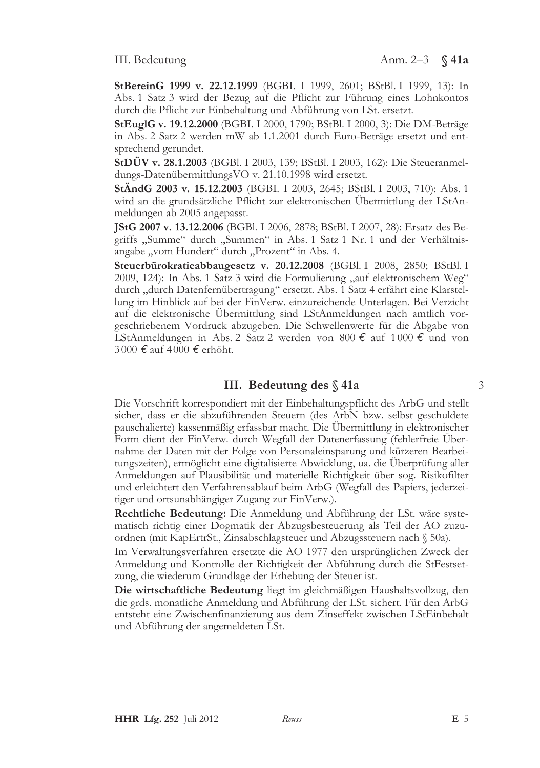StBereinG 1999 v. 22.12.1999 (BGBI. I 1999, 2601; BStBl. I 1999, 13): In Abs. 1 Satz 3 wird der Bezug auf die Pflicht zur Führung eines Lohnkontos durch die Pflicht zur Einbehaltung und Abführung von LSt. ersetzt.

**StEuglG v. 19.12.2000** (BGBI. I 2000, 1790; BStBl. I 2000, 3): Die DM-Beträge in Abs. 2 Satz 2 werden mW ab 1.1.2001 durch Euro-Beträge ersetzt und entsprechend gerundet.

StDÜV v. 28.1.2003 (BGBl. I 2003, 139; BStBl. I 2003, 162): Die Steueranmeldungs-DatenübermittlungsVO v. 21.10.1998 wird ersetzt.

StÄndG 2003 v. 15.12.2003 (BGBI. I 2003, 2645; BStBl. I 2003, 710): Abs. 1 wird an die grundsätzliche Pflicht zur elektronischen Übermittlung der LStAnmeldungen ab 2005 angepasst.

**IStG 2007 v. 13.12.2006** (BGBl. I 2006, 2878; BStBl. I 2007, 28): Ersatz des Begriffs "Summe" durch "Summen" in Abs. 1 Satz 1 Nr. 1 und der Verhältnisangabe "vom Hundert" durch "Prozent" in Abs. 4.

Steuerbürokratieabbaugesetz v. 20.12.2008 (BGBl. I 2008, 2850; BStBl. I 2009, 124): In Abs. 1 Satz 3 wird die Formulierung "auf elektronischem Weg" durch "durch Datenfernübertragung" ersetzt. Abs. 1 Satz 4 erfährt eine Klarstellung im Hinblick auf bei der FinVerw. einzureichende Unterlagen. Bei Verzicht auf die elektronische Ubermittlung sind LStAnmeldungen nach amtlich vorgeschriebenem Vordruck abzugeben. Die Schwellenwerte für die Abgabe von LStAnmeldungen in Abs. 2 Satz 2 werden von 800 € auf 1000 € und von 3000 € auf 4000 € erhöht.

## III. Bedeutung des § 41a

Die Vorschrift korrespondiert mit der Einbehaltungspflicht des ArbG und stellt sicher, dass er die abzuführenden Steuern (des ArbN bzw. selbst geschuldete pauschalierte) kassenmäßig erfassbar macht. Die Ubermittlung in elektronischer Form dient der FinVerw. durch Wegfall der Datenerfassung (fehlerfreie Übernahme der Daten mit der Folge von Personaleinsparung und kürzeren Bearbeitungszeiten), ermöglicht eine digitalisierte Abwicklung, ua. die Überprüfung aller Anmeldungen auf Plausibilität und materielle Richtigkeit über sog. Risikofilter und erleichtert den Verfahrensablauf beim ArbG (Wegfall des Papiers, jederzeitiger und ortsunabhängiger Zugang zur FinVerw.).

Rechtliche Bedeutung: Die Anmeldung und Abführung der LSt. wäre systematisch richtig einer Dogmatik der Abzugsbesteuerung als Teil der AO zuzuordnen (mit KapErtrSt., Zinsabschlagsteuer und Abzugssteuern nach § 50a).

Im Verwaltungsverfahren ersetzte die AO 1977 den ursprünglichen Zweck der Anmeldung und Kontrolle der Richtigkeit der Abführung durch die StFestsetzung, die wiederum Grundlage der Erhebung der Steuer ist.

Die wirtschaftliche Bedeutung liegt im gleichmäßigen Haushaltsvollzug, den die grds. monatliche Anmeldung und Abführung der LSt. sichert. Für den ArbG entsteht eine Zwischenfinanzierung aus dem Zinseffekt zwischen LStEinbehalt und Abführung der angemeldeten LSt.

 $\overline{3}$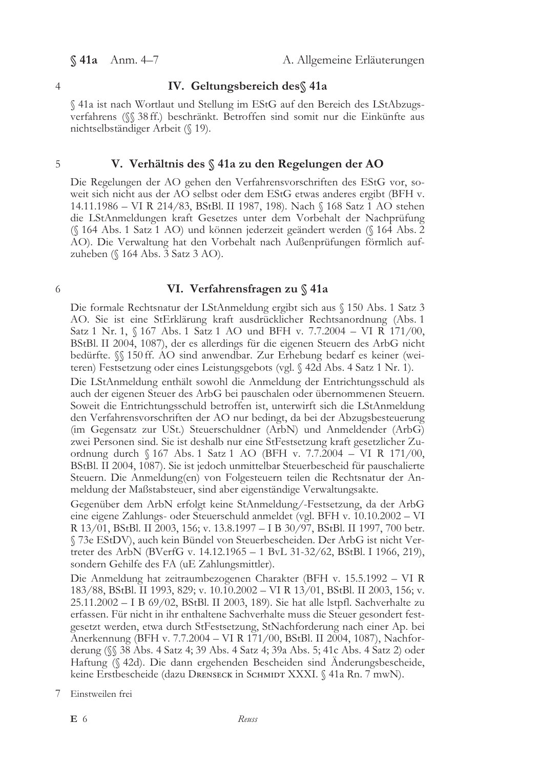$$41a$  Anm. 4-7

A. Allgemeine Erläuterungen

#### $\overline{4}$

## IV. Geltungsbereich des § 41a

§41a ist nach Wortlaut und Stellung im EStG auf den Bereich des LStAbzugsverfahrens (§ 38 ff.) beschränkt. Betroffen sind somit nur die Einkünfte aus nichtselbständiger Arbeit (§ 19).

#### 5

## V. Verhältnis des § 41a zu den Regelungen der AO

Die Regelungen der AO gehen den Verfahrensvorschriften des EStG vor, soweit sich nicht aus der AO selbst oder dem EStG etwas anderes ergibt (BFH v. 14.11.1986 - VI R 214/83, BStBl. II 1987, 198). Nach § 168 Satz 1 AO stehen die LStAnmeldungen kraft Gesetzes unter dem Vorbehalt der Nachprüfung (§ 164 Abs. 1 Satz 1 AO) und können jederzeit geändert werden (§ 164 Abs. 2 AO). Die Verwaltung hat den Vorbehalt nach Außenprüfungen förmlich aufzuheben (§ 164 Abs. 3 Satz 3 AO).

#### 6

#### VI. Verfahrensfragen zu § 41a

Die formale Rechtsnatur der LStAnmeldung ergibt sich aus § 150 Abs. 1 Satz 3 AO. Sie ist eine StErklärung kraft ausdrücklicher Rechtsanordnung (Abs. 1 Satz 1 Nr. 1, § 167 Abs. 1 Satz 1 AO und BFH v. 7.7.2004 - VI R 171/00, BStBl. II 2004, 1087), der es allerdings für die eigenen Steuern des ArbG nicht bedürfte.  $\%$  150 ff. AO sind anwendbar. Zur Erhebung bedarf es keiner (weiteren) Festsetzung oder eines Leistungsgebots (vgl. § 42d Abs. 4 Satz 1 Nr. 1).

Die LStAnmeldung enthält sowohl die Anmeldung der Entrichtungsschuld als auch der eigenen Steuer des ArbG bei pauschalen oder übernommenen Steuern. Soweit die Entrichtungsschuld betroffen ist, unterwirft sich die LStAnmeldung den Verfahrensvorschriften der AO nur bedingt, da bei der Abzugsbesteuerung (im Gegensatz zur USt.) Steuerschuldner (ArbN) und Anmeldender (ArbG) zwei Personen sind. Sie ist deshalb nur eine StFestsetzung kraft gesetzlicher Zuordnung durch § 167 Abs. 1 Satz 1 AO (BFH v. 7.7.2004 - VI R 171/00, BStBl. II 2004, 1087). Sie ist jedoch unmittelbar Steuerbescheid für pauschalierte Steuern. Die Anmeldung(en) von Folgesteuern teilen die Rechtsnatur der Anmeldung der Maßstabsteuer, sind aber eigenständige Verwaltungsakte.

Gegenüber dem ArbN erfolgt keine StAnmeldung/-Festsetzung, da der ArbG eine eigene Zahlungs- oder Steuerschuld anmeldet (vgl. BFH v. 10.10.2002 - VI R 13/01, BStBl. II 2003, 156; v. 13.8.1997 - I B 30/97, BStBl. II 1997, 700 betr. § 73e EStDV), auch kein Bündel von Steuerbescheiden. Der ArbG ist nicht Vertreter des ArbN (BVerfG v. 14.12.1965 - 1 BvL 31-32/62, BStBl. I 1966, 219), sondern Gehilfe des FA (uE Zahlungsmittler).

Die Anmeldung hat zeitraumbezogenen Charakter (BFH v. 15.5.1992 – VI R 183/88, BStBl. II 1993, 829; v. 10.10.2002 – VI R 13/01, BStBl. II 2003, 156; v. 25.11.2002 - I B 69/02, BStBl. II 2003, 189). Sie hat alle lstpfl. Sachverhalte zu erfassen. Für nicht in ihr enthaltene Sachverhalte muss die Steuer gesondert festgesetzt werden, etwa durch StFestsetzung, StNachforderung nach einer Ap. bei Anerkennung (BFH v. 7.7.2004 - VI R 171/00, BStBl. II 2004, 1087), Nachforderung (SS 38 Abs. 4 Satz 4; 39 Abs. 4 Satz 4; 39a Abs. 5; 41c Abs. 4 Satz 2) oder Haftung (§ 42d). Die dann ergehenden Bescheiden sind Anderungsbescheide, keine Erstbescheide (dazu Drenseck in Schmupt XXXI. § 41a Rn. 7 mwN).

7 Einstweilen frei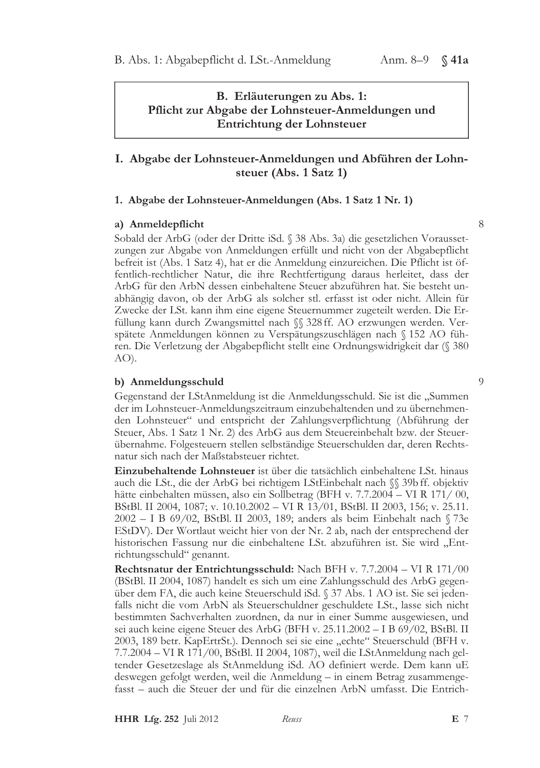B. Erläuterungen zu Abs. 1: Pflicht zur Abgabe der Lohnsteuer-Anmeldungen und Entrichtung der Lohnsteuer

# I. Abgabe der Lohnsteuer-Anmeldungen und Abführen der Lohnsteuer (Abs. 1 Satz 1)

#### 1. Abgabe der Lohnsteuer-Anmeldungen (Abs. 1 Satz 1 Nr. 1)

### a) Anmeldepflicht

Sobald der ArbG (oder der Dritte iSd. § 38 Abs. 3a) die gesetzlichen Voraussetzungen zur Abgabe von Anmeldungen erfüllt und nicht von der Abgabepflicht befreit ist (Abs. 1 Satz 4), hat er die Anmeldung einzureichen. Die Pflicht ist öffentlich-rechtlicher Natur, die ihre Rechtfertigung daraus herleitet, dass der ArbG für den ArbN dessen einbehaltene Steuer abzuführen hat. Sie besteht unabhängig davon, ob der ArbG als solcher stl. erfasst ist oder nicht. Allein für Zwecke der LSt. kann ihm eine eigene Steuernummer zugeteilt werden. Die Erfüllung kann durch Zwangsmittel nach §§ 328 ff. AO erzwungen werden. Verspätete Anmeldungen können zu Verspätungszuschlägen nach § 152 AO führen. Die Verletzung der Abgabepflicht stellt eine Ordnungswidrigkeit dar (§ 380  $AO$ ).

#### b) Anmeldungsschuld

Gegenstand der LStAnmeldung ist die Anmeldungsschuld. Sie ist die "Summen der im Lohnsteuer-Anmeldungszeitraum einzubehaltenden und zu übernehmenden Lohnsteuer" und entspricht der Zahlungsverpflichtung (Abführung der Steuer, Abs. 1 Satz 1 Nr. 2) des ArbG aus dem Steuereinbehalt bzw. der Steuerübernahme. Folgesteuern stellen selbständige Steuerschulden dar, deren Rechtsnatur sich nach der Maßstabsteuer richtet.

Einzubehaltende Lohnsteuer ist über die tatsächlich einbehaltene LSt. hinaus auch die LSt., die der ArbG bei richtigem LStEinbehalt nach SS 39bff. objektiv hätte einbehalten müssen, also ein Sollbetrag (BFH v. 7.7.2004 – VI R 171/00, BStBl. II 2004, 1087; v. 10.10.2002 - VI R 13/01, BStBl. II 2003, 156; v. 25.11. 2002 - I B 69/02, BStBl. II 2003, 189; anders als beim Einbehalt nach §73e EStDV). Der Wortlaut weicht hier von der Nr. 2 ab, nach der entsprechend der historischen Fassung nur die einbehaltene LSt. abzuführen ist. Sie wird "Entrichtungsschuld" genannt.

Rechtsnatur der Entrichtungsschuld: Nach BFH v. 7.7.2004 - VI R 171/00 (BStBl. II 2004, 1087) handelt es sich um eine Zahlungsschuld des ArbG gegenüber dem FA, die auch keine Steuerschuld iSd. § 37 Abs. 1 AO ist. Sie sei jedenfalls nicht die vom ArbN als Steuerschuldner geschuldete LSt., lasse sich nicht bestimmten Sachverhalten zuordnen, da nur in einer Summe ausgewiesen, und sei auch keine eigene Steuer des ArbG (BFH v. 25.11.2002 - I B 69/02, BStBl. II 2003, 189 betr. KapErtrSt.). Dennoch sei sie eine "echte" Steuerschuld (BFH v. 7.7.2004 - VI R 171/00, BStBl. II 2004, 1087), weil die LStAnmeldung nach geltender Gesetzeslage als StAnmeldung iSd. AO definiert werde. Dem kann uE deswegen gefolgt werden, weil die Anmeldung – in einem Betrag zusammenge $f$ asst – auch die Steuer der und für die einzelnen Arb $N$  umfasst. Die Entrich-

**HHR Lfg. 252** Juli 2012 Reuss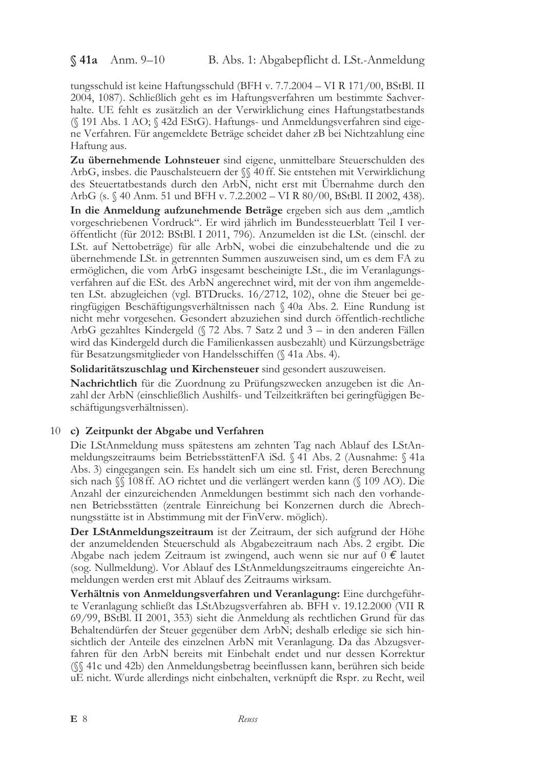$$41a$  Anm. 9-10

tungsschuld ist keine Haftungsschuld (BFH v. 7.7.2004 - VI R 171/00, BStBl. II 2004, 1087). Schließlich geht es im Haftungsverfahren um bestimmte Sachverhalte. UE fehlt es zusätzlich an der Verwirklichung eines Haftungstatbestands (§ 191 Abs. 1 AO; § 42d EStG). Haftungs- und Anmeldungsverfahren sind eigene Verfahren. Für angemeldete Beträge scheidet daher zB bei Nichtzahlung eine Haftung aus.

Zu übernehmende Lohnsteuer sind eigene, unmittelbare Steuerschulden des ArbG, insbes. die Pauschalsteuern der SS 40 ff. Sie entstehen mit Verwirklichung des Steuertatbestands durch den ArbN, nicht erst mit Übernahme durch den ArbG (s. § 40 Anm. 51 und BFH v. 7.2.2002 - VI R 80/00, BStBl. II 2002, 438).

In die Anmeldung aufzunehmende Beträge ergeben sich aus dem "amtlich vorgeschriebenen Vordruck". Er wird jährlich im Bundessteuerblatt Teil I veröffentlicht (für 2012: BStBl. I 2011, 796). Anzumelden ist die LSt. (einschl. der LSt. auf Nettobeträge) für alle ArbN, wobei die einzubehaltende und die zu übernehmende LSt. in getrennten Summen auszuweisen sind, um es dem FA zu ermöglichen, die vom ArbG insgesamt bescheinigte LSt., die im Veranlagungsverfahren auf die ESt. des ArbN angerechnet wird, mit der von ihm angemeldeten LSt. abzugleichen (vgl. BTDrucks. 16/2712, 102), ohne die Steuer bei geringfügigen Beschäftigungsverhältnissen nach  $\Diamond$  40a Abs. 2. Eine Rundung ist nicht mehr vorgesehen. Gesondert abzuziehen sind durch öffentlich-rechtliche ArbG gezahltes Kindergeld (§ 72 Abs. 7 Satz 2 und 3 – in den anderen Fällen wird das Kindergeld durch die Familienkassen ausbezahlt) und Kürzungsbeträge für Besatzungsmitglieder von Handelsschiffen (§ 41a Abs. 4).

Solidaritätszuschlag und Kirchensteuer sind gesondert auszuweisen.

Nachrichtlich für die Zuordnung zu Prüfungszwecken anzugeben ist die Anzahl der ArbN (einschließlich Aushilfs- und Teilzeitkräften bei geringfügigen Beschäftigungsverhältnissen).

## 10 c) Zeitpunkt der Abgabe und Verfahren

Die LStAnmeldung muss spätestens am zehnten Tag nach Ablauf des LStAnmeldungszeitraums beim BetriebsstättenFA iSd. § 41 Abs. 2 (Ausnahme: § 41a Abs. 3) eingegangen sein. Es handelt sich um eine stl. Frist, deren Berechnung sich nach *SS* 108 ff. AO richtet und die verlängert werden kann (§ 109 AO). Die Anzahl der einzureichenden Anmeldungen bestimmt sich nach den vorhandenen Betriebsstätten (zentrale Einreichung bei Konzernen durch die Abrechnungsstätte ist in Abstimmung mit der FinVerw. möglich).

Der LStAnmeldungszeitraum ist der Zeitraum, der sich aufgrund der Höhe der anzumeldenden Steuerschuld als Abgabezeitraum nach Abs. 2 ergibt. Die Abgabe nach jedem Zeitraum ist zwingend, auch wenn sie nur auf  $0 \notin$  lautet (sog. Nullmeldung). Vor Ablauf des LStAnmeldungszeitraums eingereichte Anmeldungen werden erst mit Ablauf des Zeitraums wirksam.

Verhältnis von Anmeldungsverfahren und Veranlagung: Eine durchgeführte Veranlagung schließt das LStAbzugsverfahren ab. BFH v. 19.12.2000 (VII R 69/99, BStBl. II 2001, 353) sieht die Anmeldung als rechtlichen Grund für das Behaltendürfen der Steuer gegenüber dem ArbN; deshalb erledige sie sich hinsichtlich der Anteile des einzelnen ArbN mit Veranlagung. Da das Abzugsverfahren für den ArbN bereits mit Einbehalt endet und nur dessen Korrektur (§§ 41c und 42b) den Anmeldungsbetrag beeinflussen kann, berühren sich beide uE nicht. Wurde allerdings nicht einbehalten, verknüpft die Rspr. zu Recht, weil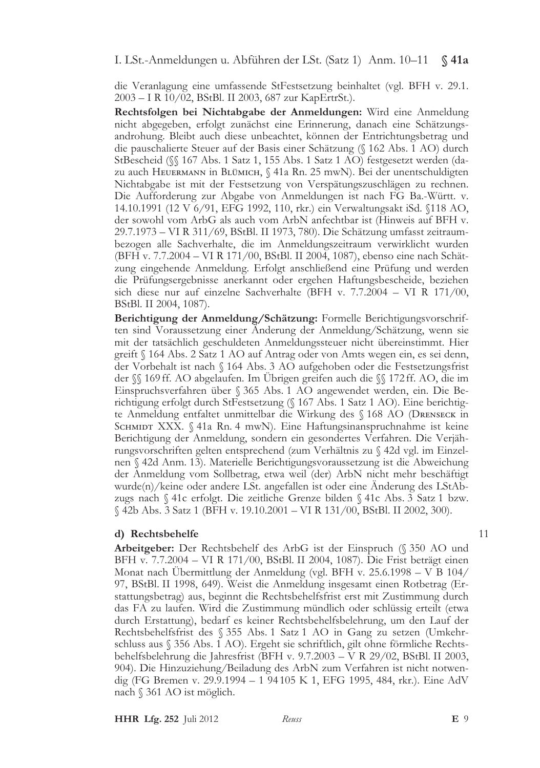I. LSt.-Anmeldungen u. Abführen der LSt. (Satz 1) Anm. 10–11  $\Im$  41a

die Veranlagung eine umfassende StFestsetzung beinhaltet (vgl. BFH v. 29.1. 2003 - I R 10/02, BStBl. II 2003, 687 zur KapErtrSt.).

Rechtsfolgen bei Nichtabgabe der Anmeldungen: Wird eine Anmeldung nicht abgegeben, erfolgt zunächst eine Erinnerung, danach eine Schätzungsandrohung. Bleibt auch diese unbeachtet, können der Entrichtungsbetrag und die pauschalierte Steuer auf der Basis einer Schätzung (§ 162 Abs. 1 AO) durch StBescheid (§§ 167 Abs. 1 Satz 1, 155 Abs. 1 Satz 1 AO) festgesetzt werden (dazu auch HEUERMANN in BLÜMICH, § 41a Rn. 25 mwN). Bei der unentschuldigten Nichtabgabe ist mit der Festsetzung von Verspätungszuschlägen zu rechnen. Die Aufforderung zur Abgabe von Anmeldungen ist nach FG Ba.-Württ. v. 14.10.1991 (12 V 6/91, EFG 1992, 110, rkr.) ein Verwaltungsakt iSd. §118 AO, der sowohl vom ArbG als auch vom ArbN anfechtbar ist (Hinweis auf BFH v. 29.7.1973 - VI R 311/69, BStBl. II 1973, 780). Die Schätzung umfasst zeitraumbezogen alle Sachverhalte, die im Anmeldungszeitraum verwirklicht wurden (BFH v. 7.7.2004 – VI R 171/00, BStBl. II 2004, 1087), ebenso eine nach Schätzung eingehende Anmeldung. Erfolgt anschließend eine Prüfung und werden die Prüfungsergebnisse anerkannt oder ergehen Haftungsbescheide, beziehen sich diese nur auf einzelne Sachverhalte (BFH v. 7.7.2004 - VI R 171/00, BStBl. II 2004, 1087).

Berichtigung der Anmeldung/Schätzung: Formelle Berichtigungsvorschriften sind Voraussetzung einer Anderung der Anmeldung/Schätzung, wenn sie mit der tatsächlich geschuldeten Anmeldungssteuer nicht übereinstimmt. Hier greift § 164 Abs. 2 Satz 1 AO auf Antrag oder von Amts wegen ein, es sei denn, der Vorbehalt ist nach § 164 Abs. 3 AO aufgehoben oder die Festsetzungsfrist der  $\%$  169 ff. AO abgelaufen. Im Ubrigen greifen auch die  $\%$  172 ff. AO, die im Einspruchsverfahren über § 365 Abs. 1 AO angewendet werden, ein. Die Berichtigung erfolgt durch StFestsetzung (§ 167 Abs. 1 Satz 1 AO). Eine berichtigte Anmeldung entfaltet unmittelbar die Wirkung des § 168 AO (DRENSECK in SCHMIDT XXX. ∫41a Rn. 4 mwN). Eine Haftungsinanspruchnahme ist keine Berichtigung der Anmeldung, sondern ein gesondertes Verfahren. Die Verjährungsvorschriften gelten entsprechend (zum Verhältnis zu § 42d vgl. im Einzelnen § 42d Anm. 13). Materielle Berichtigungsvoraussetzung ist die Abweichung der Anmeldung vom Sollbetrag, etwa weil (der) ArbN nicht mehr beschäftigt wurde(n)/keine oder andere LSt. angefallen ist oder eine Änderung des LStAbzugs nach § 41c erfolgt. Die zeitliche Grenze bilden § 41c Abs. 3 Satz 1 bzw. § 42b Abs. 3 Satz 1 (BFH v. 19.10.2001 - VI R 131/00, BStBl. II 2002, 300).

#### d) Rechtsbehelfe

Arbeitgeber: Der Rechtsbehelf des ArbG ist der Einspruch (§ 350 AO und BFH v. 7.7.2004 – VI R 171/00, BStBl. II 2004, 1087). Die Frist beträgt einen Monat nach Übermittlung der Anmeldung (vgl. BFH v. 25.6.1998 – V B 104/ 97, BStBl. II 1998, 649). Weist die Anmeldung insgesamt einen Rotbetrag (Erstattungsbetrag) aus, beginnt die Rechtsbehelfsfrist erst mit Zustimmung durch das FA zu laufen. Wird die Zustimmung mündlich oder schlüssig erteilt (etwa durch Erstattung), bedarf es keiner Rechtsbehelfsbelehrung, um den Lauf der Rechtsbehelfsfrist des § 355 Abs. 1 Satz 1 AO in Gang zu setzen (Umkehrschluss aus § 356 Abs. 1 AO). Ergeht sie schriftlich, gilt ohne förmliche Rechtsbehelfsbelehrung die Jahresfrist (BFH v. 9.7.2003 – VR 29/02, BStBl. II 2003, 904). Die Hinzuziehung/Beiladung des ArbN zum Verfahren ist nicht notwendig (FG Bremen v. 29.9.1994 – 1 94105 K 1, EFG 1995, 484, rkr.). Eine AdV nach § 361 AO ist möglich.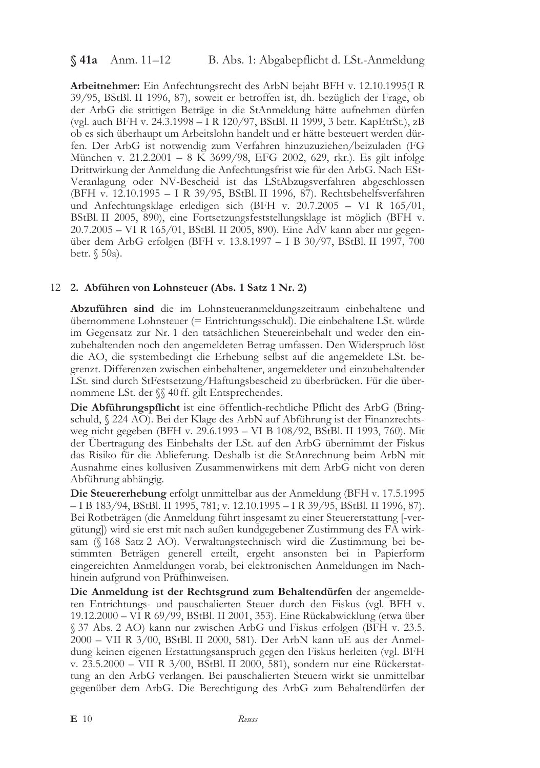## $$41a$  Anm. 11-12

Arbeitnehmer: Ein Anfechtungsrecht des ArbN bejaht BFH v. 12.10.1995(I R 39/95, BStBl. II 1996, 87), soweit er betroffen ist, dh. bezüglich der Frage, ob der ArbG die strittigen Beträge in die StAnmeldung hätte aufnehmen dürfen (vgl. auch BFH v. 24.3.1998 – I R 120/97, BStBl. II 1999, 3 betr. KapEtrSt.), zB ob es sich überhaupt um Arbeitslohn handelt und er hätte besteuert werden dürfen. Der ArbG ist notwendig zum Verfahren hinzuzuziehen/beizuladen (FG München v. 21.2.2001 – 8  $\overline{K}$  3699/98, EFG 2002, 629, rkr.). Es gilt infolge Drittwirkung der Anmeldung die Anfechtungsfrist wie für den ArbG. Nach ESt-Veranlagung oder NV-Bescheid ist das LStAbzugsverfahren abgeschlossen (BFH v. 12.10.1995 - I R 39/95, BStBl. II 1996, 87). Rechtsbehelfsverfahren und Anfechtungsklage erledigen sich (BFH v. 20.7.2005 - VI R 165/01, BStBl. II 2005, 890), eine Fortsetzungsfeststellungsklage ist möglich (BFH v. 20.7.2005 - VI R 165/01, BStBl. II 2005, 890). Eine AdV kann aber nur gegenüber dem ArbG erfolgen (BFH v. 13.8.1997 – I B 30/97, BStBl. II 1997, 700 betr. § 50a).

# 12 2. Abführen von Lohnsteuer (Abs. 1 Satz 1 Nr. 2)

Abzuführen sind die im Lohnsteueranmeldungszeitraum einbehaltene und übernommene Lohnsteuer (= Entrichtungsschuld). Die einbehaltene LSt. würde im Gegensatz zur Nr. 1 den tatsächlichen Steuereinbehalt und weder den einzubehaltenden noch den angemeldeten Betrag umfassen. Den Widerspruch löst die AO, die systembedingt die Erhebung selbst auf die angemeldete LSt. begrenzt. Differenzen zwischen einbehaltener, angemeldeter und einzubehaltender LSt. sind durch StFestsetzung/Haftungsbescheid zu überbrücken. Für die übernommene LSt. der SS 40 ff. gilt Entsprechendes.

Die Abführungspflicht ist eine öffentlich-rechtliche Pflicht des ArbG (Bringschuld, § 224 AO). Bei der Klage des ArbN auf Abführung ist der Finanzrechtsweg nicht gegeben (BFH v. 29.6.1993 – VI B 108/92, BStBl. II 1993, 760). Mit der Übertragung des Einbehalts der LSt. auf den ArbG übernimmt der Fiskus das Risiko für die Ablieferung. Deshalb ist die StAnrechnung beim ArbN mit Ausnahme eines kollusiven Zusammenwirkens mit dem ArbG nicht von deren Abführung abhängig.

Die Steuererhebung erfolgt unmittelbar aus der Anmeldung (BFH v. 17.5.1995 - I B 183/94, BStBl. II 1995, 781; v. 12.10.1995 - I R 39/95, BStBl. II 1996, 87). Bei Rotbeträgen (die Anmeldung führt insgesamt zu einer Steuererstattung [-vergütung]) wird sie erst mit nach außen kundgegebener Zustimmung des FA wirksam (§ 168 Satz 2 AO). Verwaltungstechnisch wird die Zustimmung bei bestimmten Beträgen generell erteilt, ergeht ansonsten bei in Papierform eingereichten Anmeldungen vorab, bei elektronischen Anmeldungen im Nachhinein aufgrund von Prüfhinweisen.

Die Anmeldung ist der Rechtsgrund zum Behaltendürfen der angemeldeten Entrichtungs- und pauschalierten Steuer durch den Fiskus (vgl. BFH v. 19.12.2000 - VI R 69/99, BStBl. II 2001, 353). Eine Rückabwicklung (etwa über § 37 Abs. 2 AO) kann nur zwischen ArbG und Fiskus erfolgen (BFH v. 23.5. 2000 - VII R 3/00, BStBl. II 2000, 581). Der ArbN kann uE aus der Anmeldung keinen eigenen Erstattungsanspruch gegen den Fiskus herleiten (vgl. BFH v. 23.5.2000 - VII R 3/00, BStBl. II 2000, 581), sondern nur eine Rückerstattung an den ArbG verlangen. Bei pauschalierten Steuern wirkt sie unmittelbar gegenüber dem ArbG. Die Berechtigung des ArbG zum Behaltendürfen der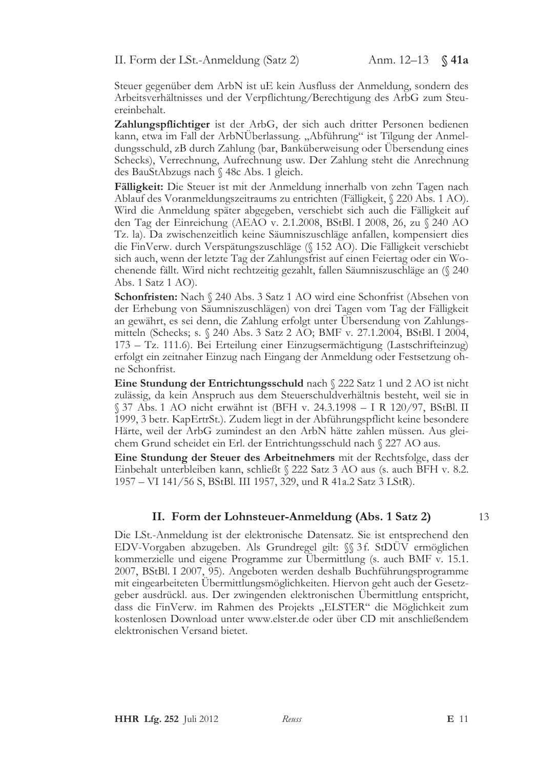II. Form der LSt.-Anmeldung (Satz 2)

Steuer gegenüber dem ArbN ist uE kein Ausfluss der Anmeldung, sondern des Arbeitsverhältnisses und der Verpflichtung/Berechtigung des ArbG zum Steuereinbehalt.

Zahlungspflichtiger ist der ArbG, der sich auch dritter Personen bedienen kann, etwa im Fall der ArbNÜberlassung. "Abführung" ist Tilgung der Anmeldungsschuld, zB durch Zahlung (bar, Banküberweisung oder Übersendung eines Schecks), Verrechnung, Aufrechnung usw. Der Zahlung steht die Anrechnung des BauStAbzugs nach § 48c Abs. 1 gleich.

Fälligkeit: Die Steuer ist mit der Anmeldung innerhalb von zehn Tagen nach Ablauf des Voranmeldungszeitraums zu entrichten (Fälligkeit, § 220 Abs. 1 AO). Wird die Anmeldung später abgegeben, verschiebt sich auch die Fälligkeit auf den Tag der Einreichung (AEAO v. 2.1.2008, BStBl. I 2008, 26, zu § 240 AO Tz. la). Da zwischenzeitlich keine Säumniszuschläge anfallen, kompensiert dies die FinVerw. durch Verspätungszuschläge (§ 152 AO). Die Fälligkeit verschiebt sich auch, wenn der letzte Tag der Zahlungsfrist auf einen Feiertag oder ein Wochenende fällt. Wird nicht rechtzeitig gezahlt, fallen Säumniszuschläge an (§ 240 Abs. 1 Satz 1 AO).

Schonfristen: Nach § 240 Abs. 3 Satz 1 AO wird eine Schonfrist (Absehen von der Erhebung von Säumniszuschlägen) von drei Tagen vom Tag der Fälligkeit an gewährt, es sei denn, die Zahlung erfolgt unter Übersendung von Zahlungsmitteln (Schecks; s. § 240 Abs. 3 Satz 2 AO; BMF v. 27.1.2004, BStBl. I 2004, 173 – Tz. 111.6). Bei Erteilung einer Einzugsermächtigung (Lastschrifteinzug) erfolgt ein zeitnaher Einzug nach Eingang der Anmeldung oder Festsetzung ohne Schonfrist.

Eine Stundung der Entrichtungsschuld nach § 222 Satz 1 und 2 AO ist nicht zulässig, da kein Anspruch aus dem Steuerschuldverhältnis besteht, weil sie in § 37 Abs. 1 AO nicht erwähnt ist (BFH v. 24.3.1998 – I R 120/97, BStBl. II 1999, 3 betr. KapErtrSt.). Zudem liegt in der Abführungspflicht keine besondere Härte, weil der ArbG zumindest an den ArbN hätte zahlen müssen. Aus gleichem Grund scheidet ein Erl. der Entrichtungsschuld nach § 227 AO aus.

Eine Stundung der Steuer des Arbeitnehmers mit der Rechtsfolge, dass der Einbehalt unterbleiben kann, schließt § 222 Satz 3 AO aus (s. auch BFH v. 8.2. 1957 - VI 141/56 S, BStBl. III 1957, 329, und R 41a.2 Satz 3 LStR).

## II. Form der Lohnsteuer-Anmeldung (Abs. 1 Satz 2)

Die LSt.-Anmeldung ist der elektronische Datensatz. Sie ist entsprechend den EDV-Vorgaben abzugeben. Als Grundregel gilt: §§ 3f. StDÜV ermöglichen kommerzielle und eigene Programme zur Ubermittlung (s. auch BMF v. 15.1. 2007, BStBl. I 2007, 95). Angeboten werden deshalb Buchführungsprogramme mit eingearbeiteten Ubermittlungsmöglichkeiten. Hiervon geht auch der Gesetzgeber ausdrückl. aus. Der zwingenden elektronischen Ubermittlung entspricht, dass die FinVerw. im Rahmen des Projekts "ELSTER" die Möglichkeit zum kostenlosen Download unter www.elster.de oder über CD mit anschließendem elektronischen Versand bietet.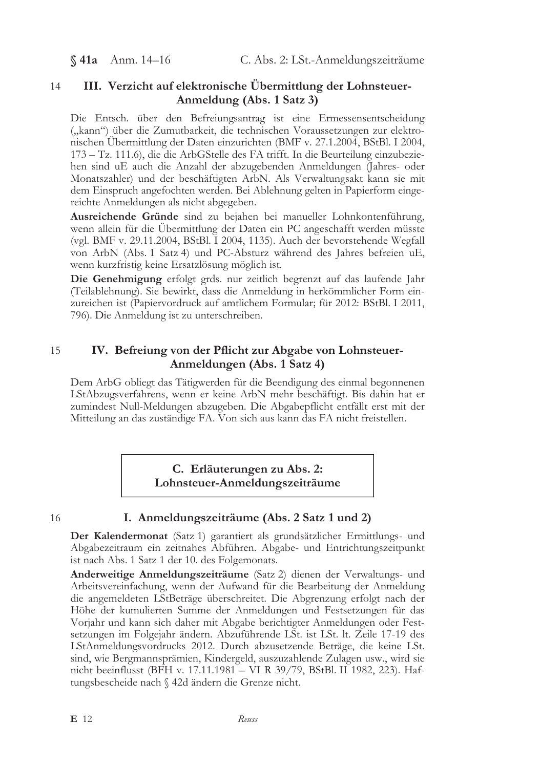$$41a$  Anm. 14-16

#### III. Verzicht auf elektronische Übermittlung der Lohnsteuer- $14$ Anmeldung (Abs. 1 Satz 3)

Die Entsch. über den Befreiungsantrag ist eine Ermessensentscheidung ("kann") über die Zumutbarkeit, die technischen Voraussetzungen zur elektronischen Übermittlung der Daten einzurichten (BMF v. 27.1.2004, BStBl. I 2004, 173 – Tz. 111.6), die die ArbGStelle des FA trifft. In die Beurteilung einzubeziehen sind uE auch die Anzahl der abzugebenden Anmeldungen (Jahres- oder Monatszahler) und der beschäftigten ArbN. Als Verwaltungsakt kann sie mit dem Einspruch angefochten werden. Bei Ablehnung gelten in Papierform eingereichte Anmeldungen als nicht abgegeben.

Ausreichende Gründe sind zu bejahen bei manueller Lohnkontenführung, wenn allein für die Übermittlung der Daten ein PC angeschafft werden müsste (vgl. BMF v. 29.11.2004, BStBl. I 2004, 1135). Auch der bevorstehende Wegfall von ArbN (Abs. 1 Satz 4) und PC-Absturz während des Jahres befreien uE, wenn kurzfristig keine Ersatzlösung möglich ist.

Die Genehmigung erfolgt grds. nur zeitlich begrenzt auf das laufende Jahr (Teilablehnung). Sie bewirkt, dass die Anmeldung in herkömmlicher Form einzureichen ist (Papiervordruck auf amtlichem Formular; für 2012: BStBl. I 2011, 796). Die Anmeldung ist zu unterschreiben.

#### 15 IV. Befreiung von der Pflicht zur Abgabe von Lohnsteuer-Anmeldungen (Abs. 1 Satz 4)

Dem ArbG obliegt das Tätigwerden für die Beendigung des einmal begonnenen LStAbzugsverfahrens, wenn er keine ArbN mehr beschäftigt. Bis dahin hat er zumindest Null-Meldungen abzugeben. Die Abgabepflicht entfällt erst mit der Mitteilung an das zuständige FA. Von sich aus kann das FA nicht freistellen.

> C. Erläuterungen zu Abs. 2: Lohnsteuer-Anmeldungszeiträume

16

# I. Anmeldungszeiträume (Abs. 2 Satz 1 und 2)

Der Kalendermonat (Satz 1) garantiert als grundsätzlicher Ermittlungs- und Abgabezeitraum ein zeitnahes Abführen. Abgabe- und Entrichtungszeitpunkt ist nach Abs. 1 Satz 1 der 10. des Folgemonats.

Anderweitige Anmeldungszeiträume (Satz 2) dienen der Verwaltungs- und Arbeitsvereinfachung, wenn der Aufwand für die Bearbeitung der Anmeldung die angemeldeten LStBeträge überschreitet. Die Abgrenzung erfolgt nach der Höhe der kumulierten Summe der Anmeldungen und Festsetzungen für das Vorjahr und kann sich daher mit Abgabe berichtigter Anmeldungen oder Festsetzungen im Folgejahr ändern. Abzuführende LSt. ist LSt. lt. Zeile 17-19 des LStAnmeldungsvordrucks 2012. Durch abzusetzende Beträge, die keine LSt. sind, wie Bergmannsprämien, Kindergeld, auszuzahlende Zulagen usw., wird sie nicht beeinflusst (BFH v. 17.11.1981 - VI R 39/79, BStBl. II 1982, 223). Haftungsbescheide nach § 42d ändern die Grenze nicht.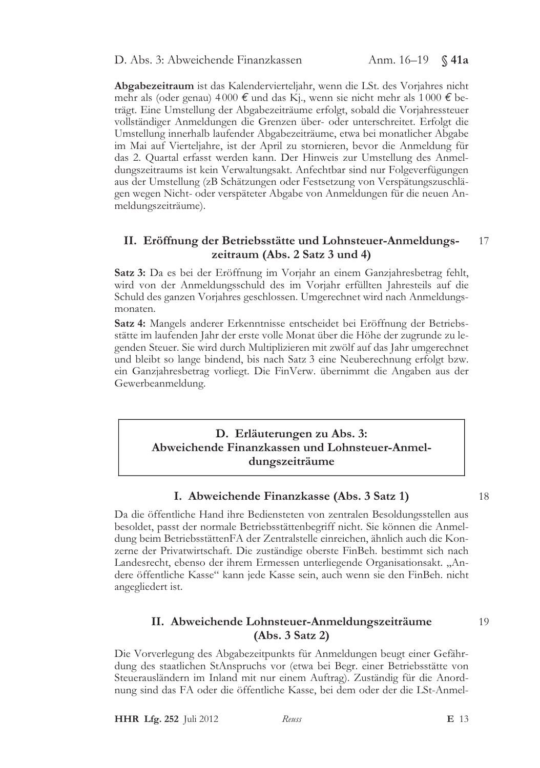D. Abs. 3: Abweichende Finanzkassen

Abgabezeitraum ist das Kalendervierteljahr, wenn die LSt. des Vorjahres nicht mehr als (oder genau) 4000  $\epsilon$  und das Kj., wenn sie nicht mehr als 1000  $\epsilon$  beträgt. Eine Umstellung der Abgabezeiträume erfolgt, sobald die Vorjahressteuer vollständiger Anmeldungen die Grenzen über- oder unterschreitet. Erfolgt die Umstellung innerhalb laufender Abgabezeiträume, etwa bei monatlicher Abgabe im Mai auf Vierteljahre, ist der April zu stornieren, bevor die Anmeldung für das 2. Quartal erfasst werden kann. Der Hinweis zur Umstellung des Anmeldungszeitraums ist kein Verwaltungsakt. Anfechtbar sind nur Folgeverfügungen aus der Umstellung (zB Schätzungen oder Festsetzung von Verspätungszuschlägen wegen Nicht- oder verspäteter Abgabe von Anmeldungen für die neuen Anmeldungszeiträume).

#### II. Eröffnung der Betriebsstätte und Lohnsteuer-Anmeldungs-17 zeitraum (Abs. 2 Satz 3 und 4)

Satz 3: Da es bei der Eröffnung im Vorjahr an einem Ganzjahresbetrag fehlt, wird von der Anmeldungsschuld des im Vorjahr erfüllten Jahresteils auf die Schuld des ganzen Vorjahres geschlossen. Umgerechnet wird nach Anmeldungsmonaten.

Satz 4: Mangels anderer Erkenntnisse entscheidet bei Eröffnung der Betriebsstätte im laufenden Jahr der erste volle Monat über die Höhe der zugrunde zu legenden Steuer. Sie wird durch Multiplizieren mit zwölf auf das Jahr umgerechnet und bleibt so lange bindend, bis nach Satz 3 eine Neuberechnung erfolgt bzw. ein Ganzjahresbetrag vorliegt. Die FinVerw. übernimmt die Angaben aus der Gewerbeanmeldung.

# D. Erläuterungen zu Abs. 3: Abweichende Finanzkassen und Lohnsteuer-Anmeldungszeiträume

# I. Abweichende Finanzkasse (Abs. 3 Satz 1)

Da die öffentliche Hand ihre Bediensteten von zentralen Besoldungsstellen aus besoldet, passt der normale Betriebsstättenbegriff nicht. Sie können die Anmeldung beim BetriebsstättenFA der Zentralstelle einreichen, ähnlich auch die Konzerne der Privatwirtschaft. Die zuständige oberste FinBeh. bestimmt sich nach Landesrecht, ebenso der ihrem Ermessen unterliegende Organisationsakt. "Andere öffentliche Kasse" kann jede Kasse sein, auch wenn sie den FinBeh. nicht angegliedert ist.

# II. Abweichende Lohnsteuer-Anmeldungszeiträume  $(Abs. 3 Satz 2)$

Die Vorverlegung des Abgabezeitpunkts für Anmeldungen beugt einer Gefährdung des staatlichen StAnspruchs vor (etwa bei Begr. einer Betriebsstätte von Steuerausländern im Inland mit nur einem Auftrag). Zuständig für die Anordnung sind das FA oder die öffentliche Kasse, bei dem oder der die LSt-Anmel-

**HHR Lfg. 252** Juli 2012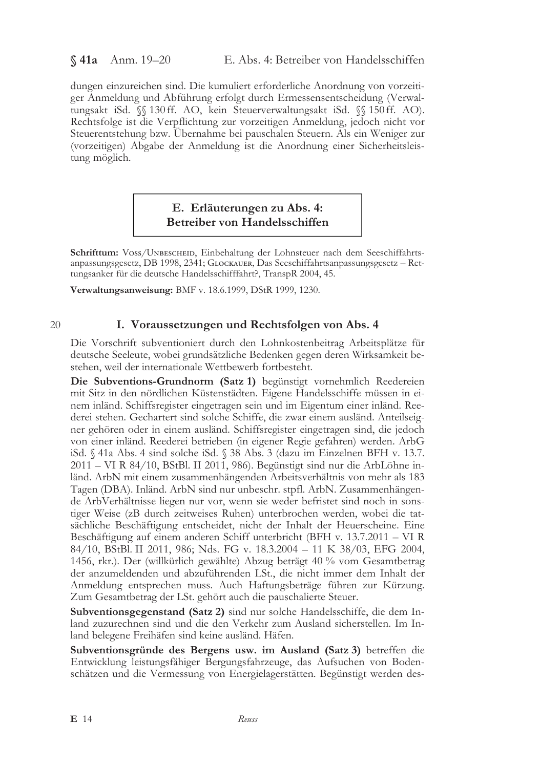§ 41a Anm. 19-20

dungen einzureichen sind. Die kumuliert erforderliche Anordnung von vorzeitiger Anmeldung und Abführung erfolgt durch Ermessensentscheidung (Verwaltungsakt iSd.  $\%$  130 ff. AO, kein Steuerverwaltungsakt iSd.  $\%$  150 ff. AO). Rechtsfolge ist die Verpflichtung zur vorzeitigen Anmeldung, jedoch nicht vor Steuerentstehung bzw. Übernahme bei pauschalen Steuern. Als ein Weniger zur (vorzeitigen) Abgabe der Anmeldung ist die Anordnung einer Sicherheitsleistung möglich.

# E. Erläuterungen zu Abs. 4: Betreiber von Handelsschiffen

Schrifttum: VOSS/UNBESCHEID, Einbehaltung der Lohnsteuer nach dem Seeschiffahrtsanpassungsgesetz, DB 1998, 2341; GLOCKAUER, Das Seeschiffahrtsanpassungsgesetz - Rettungsanker für die deutsche Handelsschifffahrt?, TranspR 2004, 45.

Verwaltungsanweisung: BMF v. 18.6.1999, DStR 1999, 1230.

### 20

# I. Voraussetzungen und Rechtsfolgen von Abs. 4

Die Vorschrift subventioniert durch den Lohnkostenbeitrag Arbeitsplätze für deutsche Seeleute, wobei grundsätzliche Bedenken gegen deren Wirksamkeit bestehen, weil der internationale Wettbewerb fortbesteht.

Die Subventions-Grundnorm (Satz 1) begünstigt vornehmlich Reedereien mit Sitz in den nördlichen Küstenstädten. Eigene Handelsschiffe müssen in einem inländ. Schiffsregister eingetragen sein und im Eigentum einer inländ. Reederei stehen. Gechartert sind solche Schiffe, die zwar einem ausländ. Anteilseigner gehören oder in einem ausländ. Schiffsregister eingetragen sind, die jedoch von einer inländ. Reederei betrieben (in eigener Regie gefahren) werden. ArbG iSd. § 41a Abs. 4 sind solche iSd. § 38 Abs. 3 (dazu im Einzelnen BFH v. 13.7. 2011 - VI R 84/10, BStBl. II 2011, 986). Begünstigt sind nur die ArbLöhne inländ. ArbN mit einem zusammenhängenden Arbeitsverhältnis von mehr als 183 Tagen (DBA). Inländ. ArbN sind nur unbeschr. stpfl. ArbN. Zusammenhängende ArbVerhältnisse liegen nur vor, wenn sie weder befristet sind noch in sonstiger Weise (zB durch zeitweises Ruhen) unterbrochen werden, wobei die tatsächliche Beschäftigung entscheidet, nicht der Inhalt der Heuerscheine. Eine Beschäftigung auf einem anderen Schiff unterbricht (BFH v. 13.7.2011 - VI R 84/10, BStBl. II 2011, 986; Nds. FG v. 18.3.2004 - 11 K 38/03, EFG 2004, 1456, rkr.). Der (willkürlich gewählte) Abzug beträgt 40 % vom Gesamtbetrag der anzumeldenden und abzuführenden LSt., die nicht immer dem Inhalt der Anmeldung entsprechen muss. Auch Haftungsbeträge führen zur Kürzung. Zum Gesamtbetrag der LSt. gehört auch die pauschalierte Steuer.

Subventionsgegenstand (Satz 2) sind nur solche Handelsschiffe, die dem Inland zuzurechnen sind und die den Verkehr zum Ausland sicherstellen. Im Inland belegene Freihäfen sind keine ausländ. Häfen.

Subventionsgründe des Bergens usw. im Ausland (Satz 3) betreffen die Entwicklung leistungsfähiger Bergungsfahrzeuge, das Aufsuchen von Bodenschätzen und die Vermessung von Energielagerstätten. Begünstigt werden des-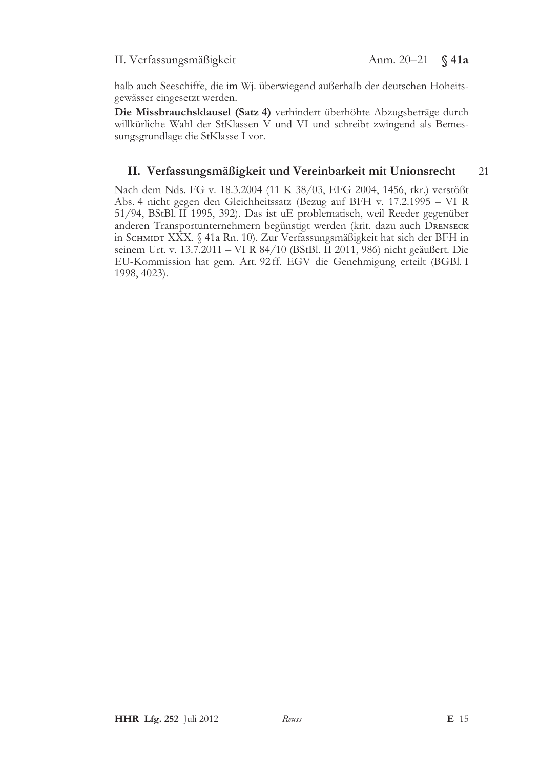## II. Verfassungsmäßigkeit

halb auch Seeschiffe, die im Wj. überwiegend außerhalb der deutschen Hoheitsgewässer eingesetzt werden.

Die Missbrauchsklausel (Satz 4) verhindert überhöhte Abzugsbeträge durch willkürliche Wahl der StKlassen V und VI und schreibt zwingend als Bemessungsgrundlage die StKlasse I vor.

#### II. Verfassungsmäßigkeit und Vereinbarkeit mit Unionsrecht 21

Nach dem Nds. FG v. 18.3.2004 (11 K 38/03, EFG 2004, 1456, rkr.) verstößt Abs. 4 nicht gegen den Gleichheitssatz (Bezug auf BFH v. 17.2.1995 - VI R 51/94, BStBl. II 1995, 392). Das ist uE problematisch, weil Reeder gegenüber anderen Transportunternehmern begünstigt werden (krit. dazu auch DRENSECK in SCHMIDT XXX. § 41a Rn. 10). Zur Verfassungsmäßigkeit hat sich der BFH in seinem Urt. v. 13.7.2011 - VI R 84/10 (BStBl. II 2011, 986) nicht geäußert. Die EU-Kommission hat gem. Art. 92ff. EGV die Genehmigung erteilt (BGBl. I 1998, 4023).